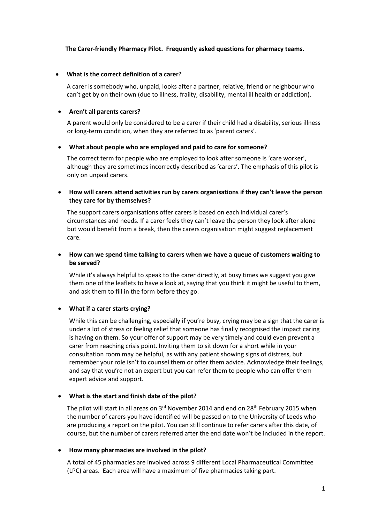### **The Carer-friendly Pharmacy Pilot. Frequently asked questions for pharmacy teams.**

#### **What is the correct definition of a carer?**

A carer is somebody who, unpaid, looks after a partner, relative, friend or neighbour who can't get by on their own (due to illness, frailty, disability, mental ill health or addiction).

#### **Aren't all parents carers?**

A parent would only be considered to be a carer if their child had a disability, serious illness or long-term condition, when they are referred to as 'parent carers'.

#### **What about people who are employed and paid to care for someone?**

The correct term for people who are employed to look after someone is 'care worker', although they are sometimes incorrectly described as 'carers'. The emphasis of this pilot is only on unpaid carers.

## **How will carers attend activities run by carers organisations if they can't leave the person they care for by themselves?**

The support carers organisations offer carers is based on each individual carer's circumstances and needs. If a carer feels they can't leave the person they look after alone but would benefit from a break, then the carers organisation might suggest replacement care.

## **How can we spend time talking to carers when we have a queue of customers waiting to be served?**

While it's always helpful to speak to the carer directly, at busy times we suggest you give them one of the leaflets to have a look at, saying that you think it might be useful to them, and ask them to fill in the form before they go.

## **What if a carer starts crying?**

While this can be challenging, especially if you're busy, crying may be a sign that the carer is under a lot of stress or feeling relief that someone has finally recognised the impact caring is having on them. So your offer of support may be very timely and could even prevent a carer from reaching crisis point. Inviting them to sit down for a short while in your consultation room may be helpful, as with any patient showing signs of distress, but remember your role isn't to counsel them or offer them advice. Acknowledge their feelings, and say that you're not an expert but you can refer them to people who can offer them expert advice and support.

#### **What is the start and finish date of the pilot?**

The pilot will start in all areas on  $3<sup>rd</sup>$  November 2014 and end on 28<sup>th</sup> February 2015 when the number of carers you have identified will be passed on to the University of Leeds who are producing a report on the pilot. You can still continue to refer carers after this date, of course, but the number of carers referred after the end date won't be included in the report.

#### **How many pharmacies are involved in the pilot?**

A total of 45 pharmacies are involved across 9 different Local Pharmaceutical Committee (LPC) areas. Each area will have a maximum of five pharmacies taking part.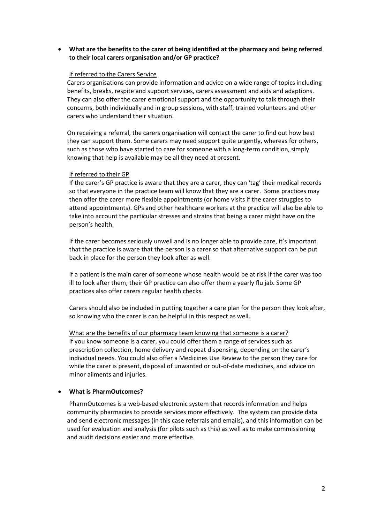**What are the benefits to the carer of being identified at the pharmacy and being referred to their local carers organisation and/or GP practice?**

#### If referred to the Carers Service

Carers organisations can provide information and advice on a wide range of topics including benefits, breaks, respite and support services, carers assessment and aids and adaptions. They can also offer the carer emotional support and the opportunity to talk through their concerns, both individually and in group sessions, with staff, trained volunteers and other carers who understand their situation.

On receiving a referral, the carers organisation will contact the carer to find out how best they can support them. Some carers may need support quite urgently, whereas for others, such as those who have started to care for someone with a long-term condition, simply knowing that help is available may be all they need at present.

#### If referred to their GP

If the carer's GP practice is aware that they are a carer, they can 'tag' their medical records so that everyone in the practice team will know that they are a carer. Some practices may then offer the carer more flexible appointments (or home visits if the carer struggles to attend appointments). GPs and other healthcare workers at the practice will also be able to take into account the particular stresses and strains that being a carer might have on the person's health.

If the carer becomes seriously unwell and is no longer able to provide care, it's important that the practice is aware that the person is a carer so that alternative support can be put back in place for the person they look after as well.

If a patient is the main carer of someone whose health would be at risk if the carer was too ill to look after them, their GP practice can also offer them a yearly flu jab. Some GP practices also offer carers regular health checks.

Carers should also be included in putting together a care plan for the person they look after, so knowing who the carer is can be helpful in this respect as well.

What are the benefits of our pharmacy team knowing that someone is a carer? If you know someone is a carer, you could offer them a range of services such as prescription collection, home delivery and repeat dispensing, depending on the carer's individual needs. You could also offer a Medicines Use Review to the person they care for while the carer is present, disposal of unwanted or out-of-date medicines, and advice on minor ailments and injuries.

## **What is PharmOutcomes?**

PharmOutcomes is a web-based electronic system that records information and helps community pharmacies to provide services more effectively. The system can provide data and send electronic messages (in this case referrals and emails), and this information can be used for evaluation and analysis (for pilots such as this) as well as to make commissioning and audit decisions easier and more effective.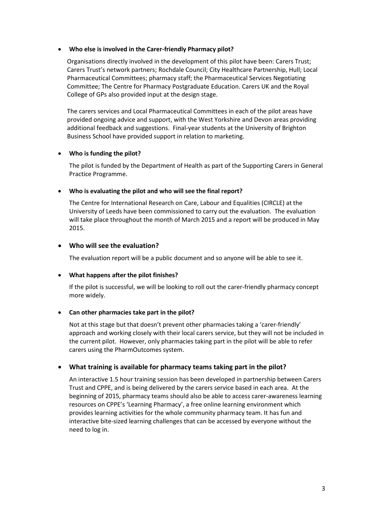### **Who else is involved in the Carer-friendly Pharmacy pilot?**

Organisations directly involved in the development of this pilot have been: Carers Trust; Carers Trust's network partners; Rochdale Council; City Healthcare Partnership, Hull; Local Pharmaceutical Committees; pharmacy staff; the Pharmaceutical Services Negotiating Committee; The Centre for Pharmacy Postgraduate Education. Carers UK and the Royal College of GPs also provided input at the design stage.

The carers services and Local Pharmaceutical Committees in each of the pilot areas have provided ongoing advice and support, with the West Yorkshire and Devon areas providing additional feedback and suggestions. Final-year students at the University of Brighton Business School have provided support in relation to marketing.

## **Who is funding the pilot?**

The pilot is funded by the Department of Health as part of the Supporting Carers in General Practice Programme.

## **Who is evaluating the pilot and who will see the final report?**

The Centre for International Research on Care, Labour and Equalities (CIRCLE) at the University of Leeds have been commissioned to carry out the evaluation. The evaluation will take place throughout the month of March 2015 and a report will be produced in May 2015.

# **Who will see the evaluation?**

The evaluation report will be a public document and so anyone will be able to see it.

# **What happens after the pilot finishes?**

If the pilot is successful, we will be looking to roll out the carer-friendly pharmacy concept more widely.

# **Can other pharmacies take part in the pilot?**

Not at this stage but that doesn't prevent other pharmacies taking a 'carer-friendly' approach and working closely with their local carers service, but they will not be included in the current pilot. However, only pharmacies taking part in the pilot will be able to refer carers using the PharmOutcomes system.

# **What training is available for pharmacy teams taking part in the pilot?**

An interactive 1.5 hour training session has been developed in partnership between Carers Trust and CPPE, and is being delivered by the carers service based in each area. At the beginning of 2015, pharmacy teams should also be able to access carer-awareness learning resources on CPPE's 'Learning Pharmacy', a free online learning environment which provides learning activities for the whole community pharmacy team. It has fun and interactive bite-sized learning challenges that can be accessed by everyone without the need to log in.